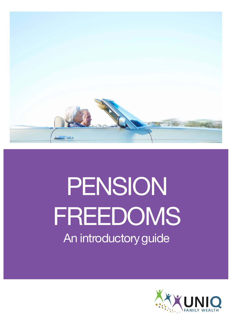

# PENSION FREEDOMS An introductory guide

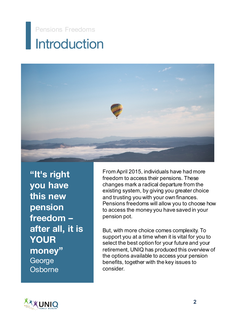### **Introduction** Pensions Freedoms



**"It's right you have this new pension freedom – after all, it is YOUR money"** George **Osborne** 

From April 2015, individuals have had more freedom to access their pensions. These changes mark a radical departure from the existing system, by giving you greater choice and trusting you with your own finances. Pensions freedoms will allow you to choose how to access the money you have saved in your pension pot.

But, with more choice comes complexity. To support you at a time when it is vital for you to select the best option for your future and your retirement, UNIQ has produced this overview of the options available to access your pension benefits, together with the key issues to consider.

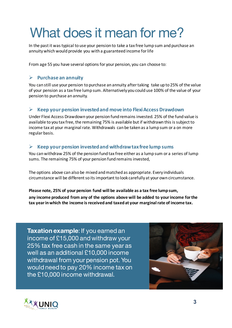## What does it mean for me?

In the past it was typical to use your pension to take a tax free lump sum and purchase an annuity which would provide you with a guaranteed income for life

From age 55 you have several options for your pension, you can choose to:

### Ø **Purchase an annuity**

You can still use your pension to purchase an annuity after taking take up to 25% of the value of your pension as a tax free lump sum. Alternatively you could use 100% of the value of your pension to purchase an annuity.

#### $\triangleright$  Keep your pension invested and move into Flexi Access Drawdown

Under Flexi Access Drawdown your pension fund remains invested. 25% of the fund value is available to you tax free, the remaining 75% is available but if withdrawn this is subject to income tax at your marginal rate. Withdrawals can be taken as a lump sum or a on more regular basis.

### $\triangleright$  Keep your pension invested and withdraw tax free lump sums

You can withdraw 25% of the pension fund tax free either as a lump sum or a series of lump sums. The remaining 75% of your pension fund remains invested,

The options above can also be mixed and matched as appropriate. Every individuals circumstance will be different so its important to look carefully at your own circumstance.

Please note, 25% of your pension fund will be available as a tax free lump sum, any income produced from any of the options above will be added to your income for the tax year in which the income is received and taxed at your marginal rate of income tax.

**Taxation example**: If you earned an income of £15,000 and withdraw your 25% tax free cash in the same year as well as an additional £10,000 income withdrawal from your pension pot. You would need to pay 20% income tax on the £10,000 income withdrawal.



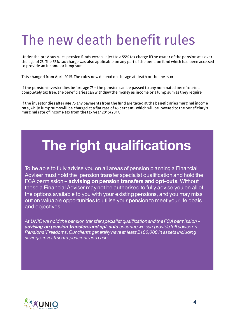# The new death benefit rules

Under the previous rules pension funds were subject to a 55% tax charge if the owner of the pension was over the age of 75. The 55% tax charge was also applicable on any part of the pension fund which had been accessed to provide an income or lump sum

This changed from April 2015. The rules now depend on the age at death or the investor.

If the pension investor dies before age 75 – the pension can be passed to any nominated beneficiaries completely tax free: the beneficiaries can withdraw the money as income or a lump sum as they require.

If the investor dies after age 75 any payments from the fund are taxed at the beneficiaries marginal income rate, while lump sums will be charged at a flat rate of 45 percent- which will be lowered to the beneficiary's marginal rate of income tax from the tax year 2016/2017.

### **The right qualifications**

To be able to fully advise you on all areas of pension planning a Financial Adviser must hold the pension transfer specialist qualification and hold the FCA permission – **advising on pension transfers and opt-outs**. Without these a Financial Adviser may not be authorised to fully advise you on all of the options available to you with your existing pensions, and you may miss out on valuable opportunities to utilise your pension to meet your life goals and objectives.

*At UNIQ we hold the pension transfer specialist qualification and the FCApermission – advising on pension transfers and opt-outs ensuring we can provide full advice on Pensions' Freedoms. Our clients generally haveat least £100,000 in assets including savings, investments, pensions and cash.*

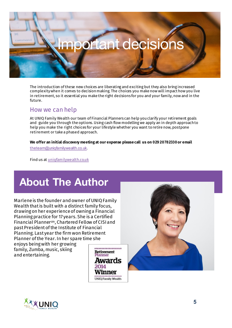

The introduction of these new choices are liberating and exciting but they also bring increased complexity when it comes to decision making. The choices you make now will impact how you live in retirement, so it essential you make the right decisions for you and your family, now and in the future.

### How we can help

At UNIQ Family Wealth our team of Financial Planners can help you clarify your retirement goals and guide you through the options. Using cash flow modelling we apply an in depth approach to help you make the right choices for your lifestyle whether you want to retire now, postpone retirement or take a phased approach.

#### **We offer an initial discovery meeting at our expense please call us on 029 20782330 or email**

theteam@uniqfamilywealth.co.uk.

Find us at uniqfamilywealth.co.uk

### **About The Author**

Marlene is the founder and owner of UNIQ Family Wealth that is built with a distinct family focus, drawing on her experience of owning a Financial Planning practice for 17 years. She is a Certified Financial Plannercm, Chartered Fellow of CISI and past President of the Institute of Financial Planning. Last year the firm won Retirement Planner of the Year. In her spare time she

enjoys being with her growing family, Zumba, music, skiing and entertaining.